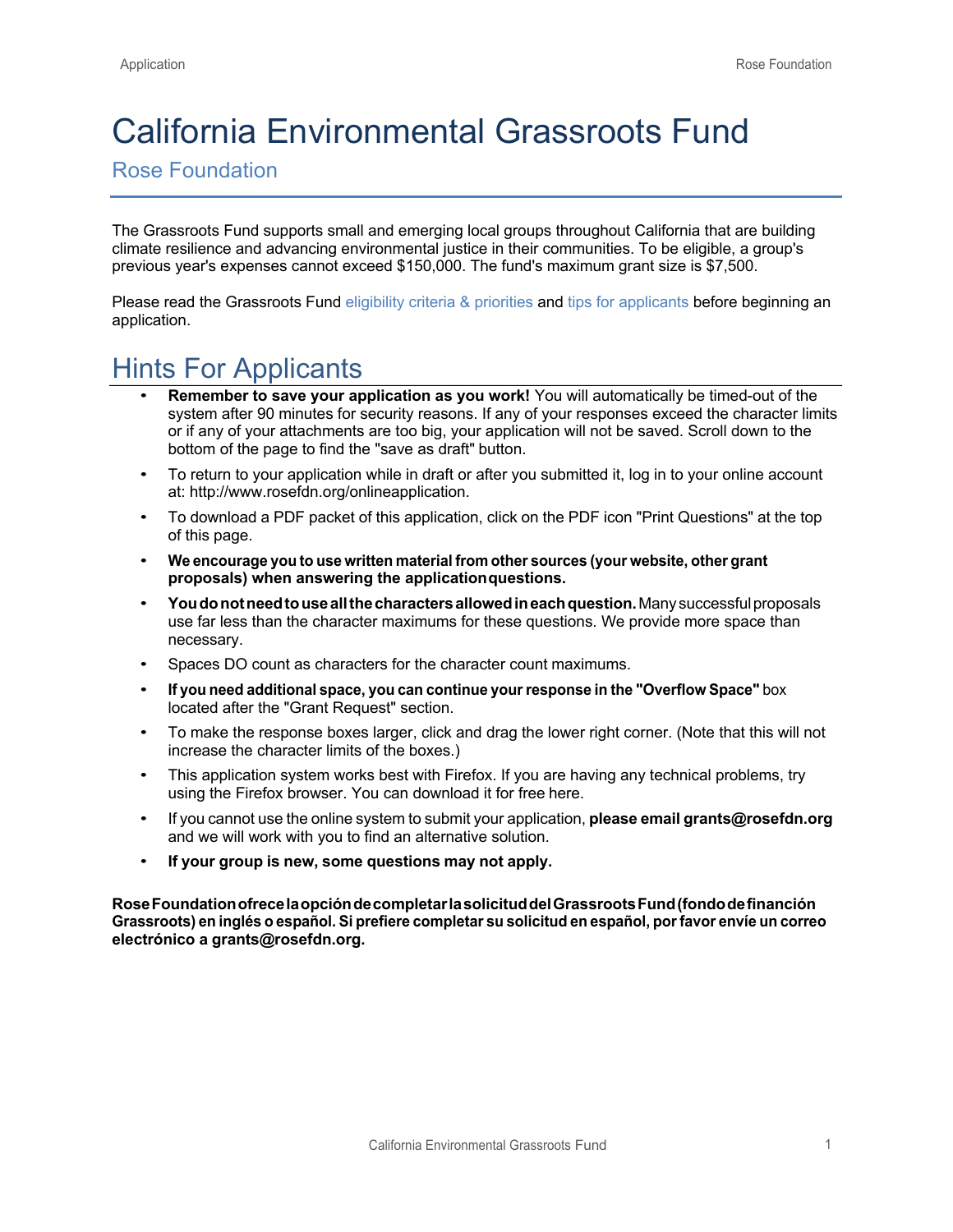# California Environmental Grassroots Fund

Rose Foundation

The Grassroots Fund supports small and emerging local groups throughout California that are building climate resilience and advancing environmental justice in their communities. To be eligible, a group's previous year's expenses cannot exceed \$150,000. The fund's maximum grant size is \$7,500.

Please read the Grassroots Fund eligibility criteria & priorities and tips for applicants before beginning an application.

## Hints For Applicants

- **Remember to save your application as you work!** You will automatically be timed-out of the system after 90 minutes for security reasons. If any of your responses exceed the character limits or if any of your attachments are too big, your application will not be saved. Scroll down to the bottom of the page to find the "save as draft" button.
- To return to your application while in draft or after you submitted it, log in to your online account at: http://www.rosefdn.org/onlineapplication.
- To download a PDF packet of this application, click on the PDF icon "Print Questions" at the top of this page.
- **We encourage you to use written material from other sources (your website, other grant proposals) when answering the applicationquestions.**
- **Youdonotneedtouseallthecharactersallowedineachquestion.**Manysuccessfulproposals use far less than the character maximums for these questions. We provide more space than necessary.
- Spaces DO count as characters for the character count maximums.
- **If you need additional space, you can continue your response in the "Overflow Space"** box located after the "Grant Request" section.
- To make the response boxes larger, click and drag the lower right corner. (Note that this will not increase the character limits of the boxes.)
- This application system works best with Firefox. If you are having any technical problems, try using the Firefox browser. You can download it for free here.
- If you cannot use the online system to submit your application, **please email grants@rosefdn.org** and we will work with you to find an alternative solution.
- **If your group is new, some questions may not apply.**

**RoseFoundationofrecelaopcióndecompletarlasolicituddelGrassrootsFund(fondodefinanción Grassroots) en inglés o español. Si prefiere completar su solicitud en español, porfavor envíe un correo electrónico a grants@rosefdn.org.**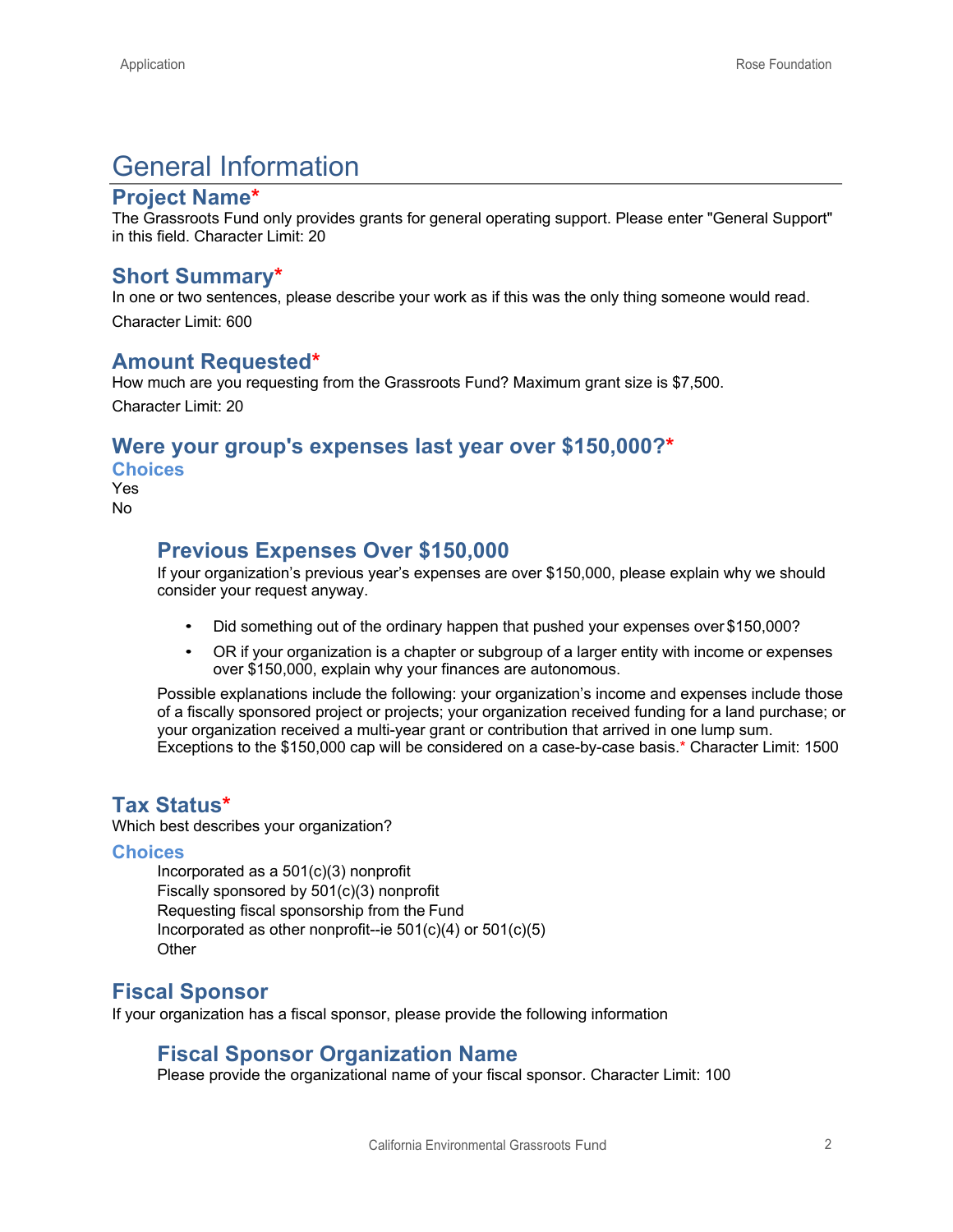## General Information

#### **Project Name\***

The Grassroots Fund only provides grants for general operating support. Please enter "General Support" in this field. Character Limit: 20

#### **Short Summary\***

In one or two sentences, please describe your work as if this was the only thing someone would read. Character Limit: 600

#### **Amount Requested\***

How much are you requesting from the Grassroots Fund? Maximum grant size is \$7,500. Character Limit: 20

#### **Were your group's expenses last year over \$150,000?\***

**Choices**

Yes No

### **Previous Expenses Over \$150,000**

If your organization's previous year's expenses are over \$150,000, please explain why we should consider your request anyway.

- Did something out of the ordinary happen that pushed your expenses over \$150,000?
- OR if your organization is a chapter or subgroup of a larger entity with income or expenses over \$150,000, explain why your finances are autonomous.

Possible explanations include the following: your organization's income and expenses include those of a fiscally sponsored project or projects; your organization received funding for a land purchase; or your organization received a multi-year grant or contribution that arrived in one lump sum. Exceptions to the \$150,000 cap will be considered on a case-by-case basis.\* Character Limit: 1500

#### **Tax Status\***

Which best describes your organization?

#### **Choices**

Incorporated as a 501(c)(3) nonprofit Fiscally sponsored by 501(c)(3) nonprofit Requesting fiscal sponsorship from the Fund Incorporated as other nonprofit--ie  $501(c)(4)$  or  $501(c)(5)$ **Other** 

### **Fiscal Sponsor**

If your organization has a fiscal sponsor, please provide the following information

### **Fiscal Sponsor Organization Name**

Please provide the organizational name of your fiscal sponsor. Character Limit: 100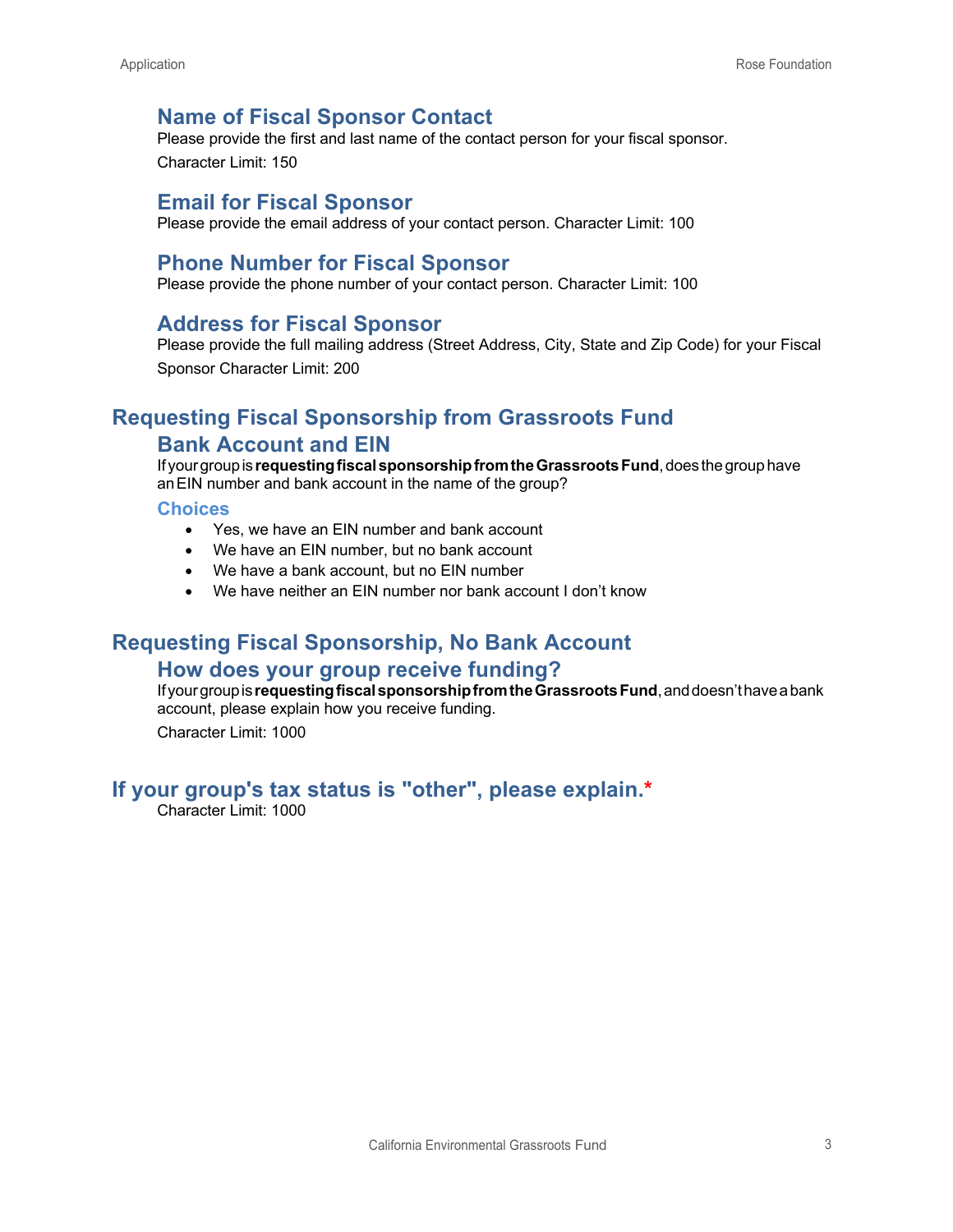### **Name of Fiscal Sponsor Contact**

Please provide the first and last name of the contact person for your fiscal sponsor. Character Limit: 150

#### **Email for Fiscal Sponsor**

Please provide the email address of your contact person. Character Limit: 100

#### **Phone Number for Fiscal Sponsor**

Please provide the phone number of your contact person. Character Limit: 100

#### **Address for Fiscal Sponsor**

Please provide the full mailing address (Street Address, City, State and Zip Code) for your Fiscal Sponsor Character Limit: 200

## **Requesting Fiscal Sponsorship from Grassroots Fund Bank Account and EIN**

Ifyourgroupis **requestingfiscalsponsorshipfromtheGrassrootsFund**,does thegrouphave anEIN number and bank account in the name of the group?

#### **Choices**

- Yes, we have an EIN number and bank account
- We have an EIN number, but no bank account
- We have a bank account, but no EIN number
- We have neither an EIN number nor bank account I don't know

#### **Requesting Fiscal Sponsorship, No Bank Account**

#### **How does your group receive funding?**

Ifyourgroupis**requestingfiscalsponsorshipfromtheGrassrootsFund**,anddoesn'thaveabank account, please explain how you receive funding.

Character Limit: 1000

### **If your group's tax status is "other", please explain.\***

Character Limit: 1000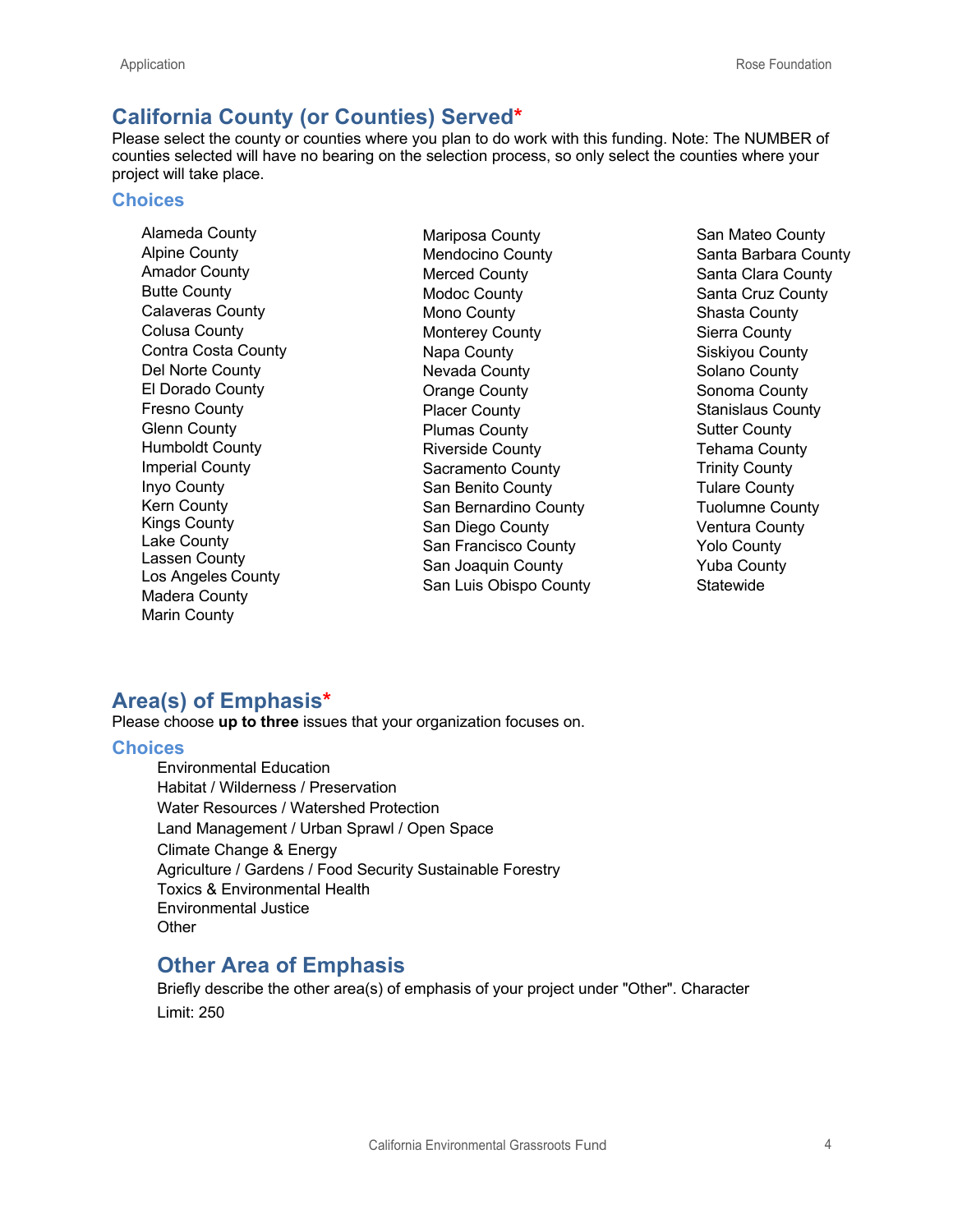## **California County (or Counties) Served\***

Please select the county or counties where you plan to do work with this funding. Note: The NUMBER of counties selected will have no bearing on the selection process, so only select the counties where your project will take place.

#### **Choices**

Alameda County Alpine County Amador County Butte County Calaveras County Colusa County Contra Costa County Del Norte County El Dorado County Fresno County Glenn County Humboldt County Imperial County Inyo County Kern County Kings County Lake County Lassen County Los Angeles County Madera County Marin County

Mariposa County Mendocino County Merced County Modoc County Mono County Monterey County Napa County Nevada County Orange County Placer County Plumas County Riverside County Sacramento County San Benito County San Bernardino County San Diego County San Francisco County San Joaquin County San Luis Obispo County San Mateo County Santa Barbara County Santa Clara County Santa Cruz County Shasta County Sierra County Siskiyou County Solano County Sonoma County Stanislaus County Sutter County Tehama County Trinity County Tulare County Tuolumne County Ventura County Yolo County Yuba County **Statewide** 

### **Area(s) of Emphasis\***

Please choose **up to three** issues that your organization focuses on.

#### **Choices**

Environmental Education Habitat / Wilderness / Preservation Water Resources / Watershed Protection Land Management / Urban Sprawl / Open Space Climate Change & Energy Agriculture / Gardens / Food Security Sustainable Forestry Toxics & Environmental Health Environmental Justice **Other** 

### **Other Area of Emphasis**

Briefly describe the other area(s) of emphasis of your project under "Other". Character Limit: 250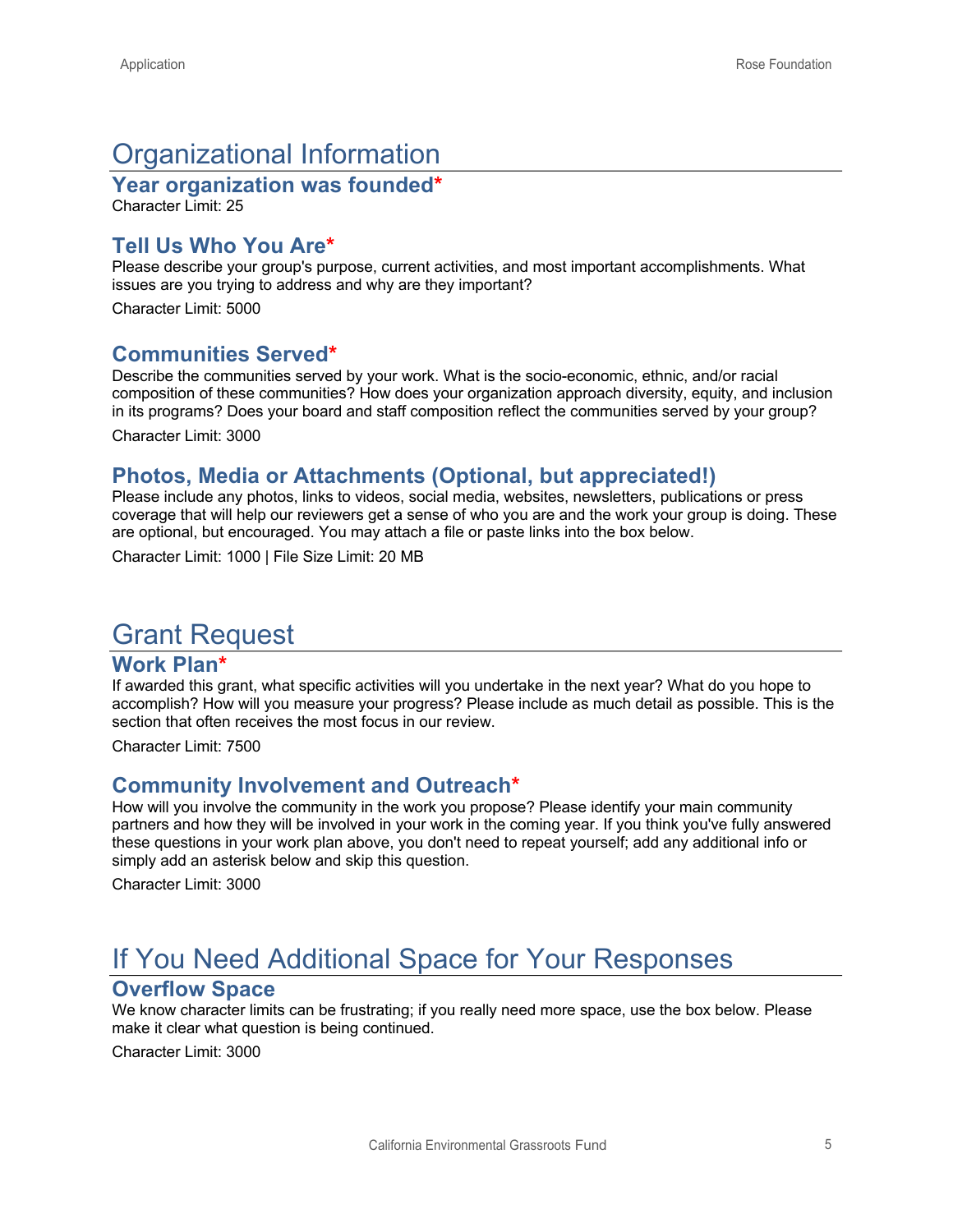## Organizational Information

**Year organization was founded\***

Character Limit: 25

### **Tell Us Who You Are\***

Please describe your group's purpose, current activities, and most important accomplishments. What issues are you trying to address and why are they important?

Character Limit: 5000

### **Communities Served\***

Describe the communities served by your work. What is the socio-economic, ethnic, and/or racial composition of these communities? How does your organization approach diversity, equity, and inclusion in its programs? Does your board and staff composition reflect the communities served by your group?

Character Limit: 3000

### **Photos, Media or Attachments (Optional, but appreciated!)**

Please include any photos, links to videos, social media, websites, newsletters, publications or press coverage that will help our reviewers get a sense of who you are and the work your group is doing. These are optional, but encouraged. You may attach a file or paste links into the box below.

Character Limit: 1000 | File Size Limit: 20 MB

## Grant Request

#### **Work Plan\***

If awarded this grant, what specific activities will you undertake in the next year? What do you hope to accomplish? How will you measure your progress? Please include as much detail as possible. This is the section that often receives the most focus in our review.

Character Limit: 7500

#### **Community Involvement and Outreach\***

How will you involve the community in the work you propose? Please identify your main community partners and how they will be involved in your work in the coming year. If you think you've fully answered these questions in your work plan above, you don't need to repeat yourself; add any additional info or simply add an asterisk below and skip this question.

Character Limit: 3000

## If You Need Additional Space for Your Responses

#### **Overflow Space**

We know character limits can be frustrating; if you really need more space, use the box below. Please make it clear what question is being continued.

Character Limit: 3000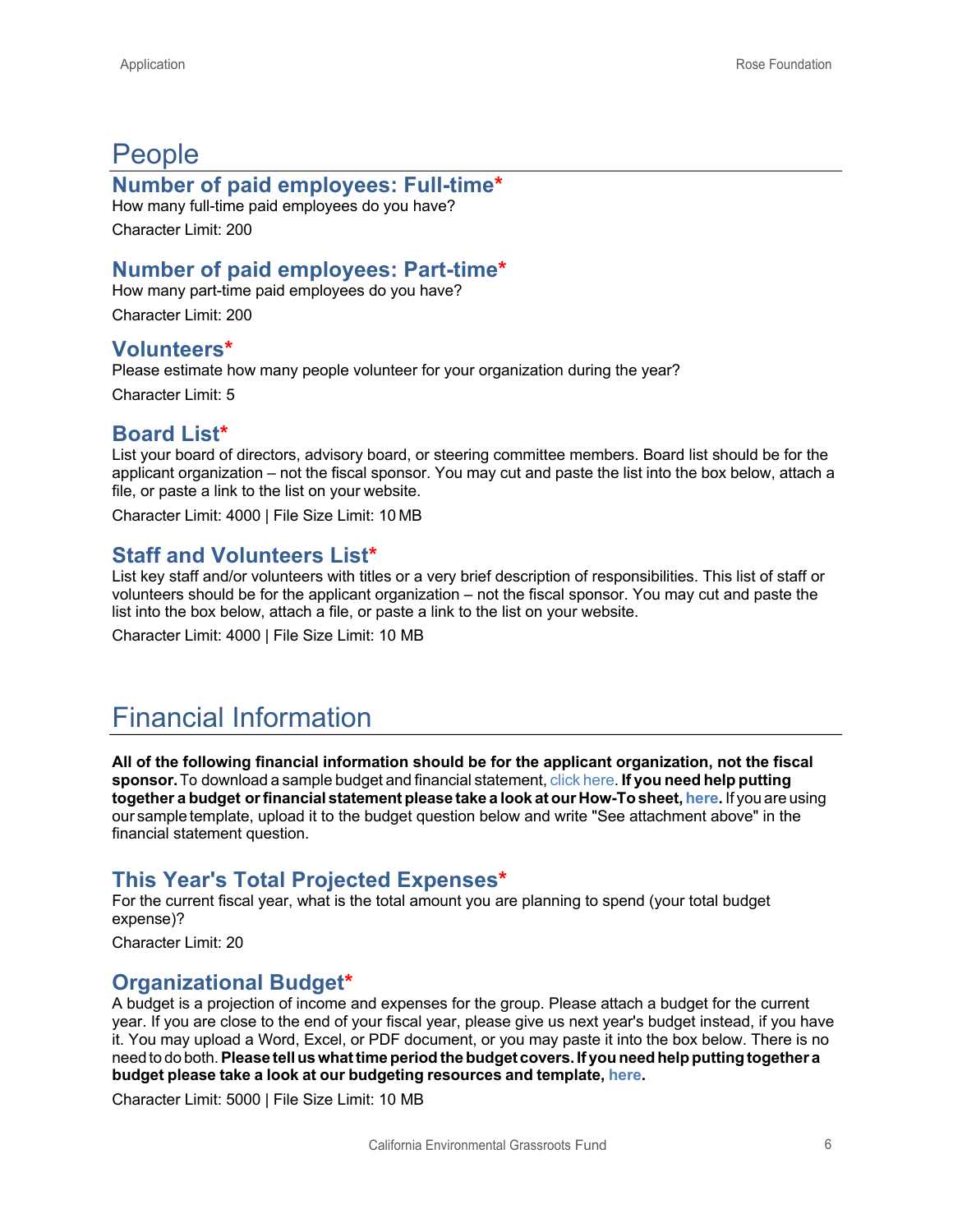## People

#### **Number of paid employees: Full-time\***

How many full-time paid employees do you have? Character Limit: 200

## **Number of paid employees: Part-time\***

How many part-time paid employees do you have? Character Limit: 200

#### **Volunteers\***

Please estimate how many people volunteer for your organization during the year?

Character Limit: 5

#### **Board List\***

List your board of directors, advisory board, or steering committee members. Board list should be for the applicant organization – not the fiscal sponsor. You may cut and paste the list into the box below, attach a file, or paste a link to the list on your website.

Character Limit: 4000 | File Size Limit: 10 MB

### **Staff and Volunteers List\***

List key staff and/or volunteers with titles or a very brief description of responsibilities. This list of staff or volunteers should be for the applicant organization – not the fiscal sponsor. You may cut and paste the list into the box below, attach a file, or paste a link to the list on your website.

Character Limit: 4000 | File Size Limit: 10 MB

## Financial Information

**All of the following financial information should be for the applicant organization, not the fiscal sponsor.**To download a sample budget and financial statement, click here. **If you need help putting together a budget orfinancial statement please take a look at our How-To sheet, here.** If you are using our sample template, upload it to the budget question below and write "See attachment above" in the financial statement question.

### **This Year's Total Projected Expenses\***

For the current fiscal year, what is the total amount you are planning to spend (your total budget expense)?

Character Limit: 20

### **Organizational Budget\***

A budget is a projection of income and expenses for the group. Please attach a budget for the current year. If you are close to the end of your fiscal year, please give us next year's budget instead, if you have it. You may upload a Word, Excel, or PDF document, or you may paste it into the box below. There is no need to do both.**Please telluswhattimeperiodthebudget covers. If youneedhelpputtingtogether a budget please take a look at our budgeting resources and template, here.**

Character Limit: 5000 | File Size Limit: 10 MB